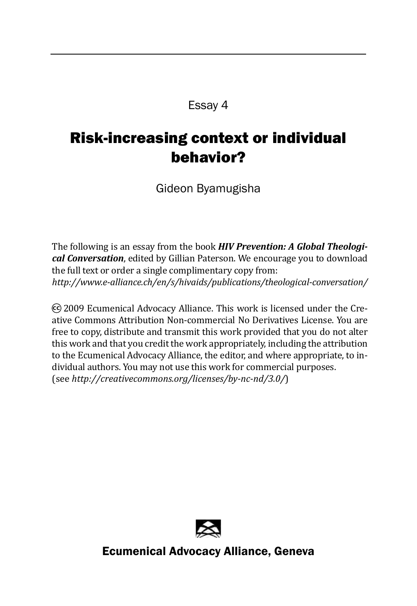#### Essay 4

## Risk-increasing context or individual behavior?

Gideon Byamugisha

The following is an essay from the book *HIV Prevention: A Global Theological Conversation*, edited by Gillian Paterson. We encourage you to download the full text or order a single complimentary copy from: *http://www.e-alliance.ch/en/s/hivaids/publications/theological-conversation/*

cc) 2009 Ecumenical Advocacy Alliance. This work is licensed under the Creative Commons Attribution Non-commercial No Derivatives License. You are free to copy, distribute and transmit this work provided that you do not alter this work and that you credit the work appropriately, including the attribution to the Ecumenical Advocacy Alliance, the editor, and where appropriate, to individual authors. You may not use this work for commercial purposes. (see *http://creativecommons.org/licenses/by-nc-nd/3.0/*)



Ecumenical Advocacy Alliance, Geneva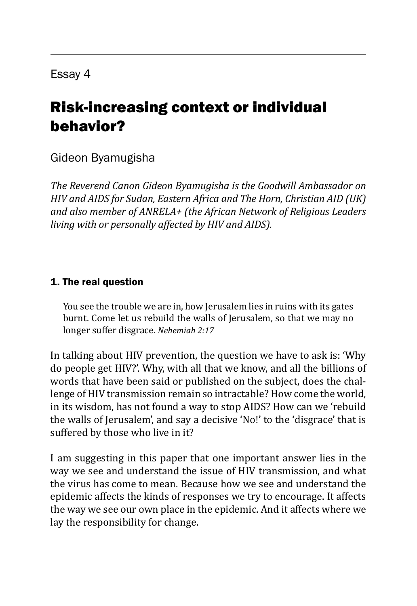# Risk-increasing context or individual behavior?

### Gideon Byamugisha

*The Reverend Canon Gideon Byamugisha is the Goodwill Ambassador on HIV and AIDS for Sudan, Eastern Africa and The Horn, Christian AID (UK) and also member of ANRELA+ (the African Network of Religious Leaders living with or personally affected by HIV and AIDS).*

#### 1. The real question

You see the trouble we are in, how Jerusalem lies in ruins with its gates burnt. Come let us rebuild the walls of Jerusalem, so that we may no longer suffer disgrace. *Nehemiah 2:17*

In talking about HIV prevention, the question we have to ask is: 'Why do people get HIV?'. Why, with all that we know, and all the billions of words that have been said or published on the subject, does the challenge of HIV transmission remain so intractable? How come the world, in its wisdom, has not found a way to stop AIDS? How can we 'rebuild the walls of Jerusalem', and say a decisive 'No!' to the 'disgrace' that is suffered by those who live in it?

I am suggesting in this paper that one important answer lies in the way we see and understand the issue of HIV transmission, and what the virus has come to mean. Because how we see and understand the epidemic affects the kinds of responses we try to encourage. It affects the way we see our own place in the epidemic. And it affects where we lay the responsibility for change.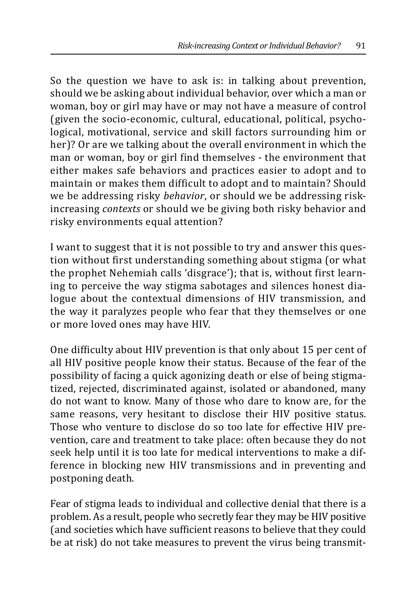So the question we have to ask is: in talking about prevention, should we be asking about individual behavior, over which a man or woman, boy or girl may have or may not have a measure of control (given the socio-economic, cultural, educational, political, psychological, motivational, service and skill factors surrounding him or her)? Or are we talking about the overall environment in which the man or woman, boy or girl find themselves - the environment that either makes safe behaviors and practices easier to adopt and to maintain or makes them difficult to adopt and to maintain? Should we be addressing risky *behavior*, or should we be addressing riskincreasing *contexts* or should we be giving both risky behavior and risky environments equal attention?

I want to suggest that it is not possible to try and answer this question without first understanding something about stigma (or what the prophet Nehemiah calls 'disgrace'); that is, without first learning to perceive the way stigma sabotages and silences honest dialogue about the contextual dimensions of HIV transmission, and the way it paralyzes people who fear that they themselves or one or more loved ones may have HIV.

One difficulty about HIV prevention is that only about 15 per cent of all HIV positive people know their status. Because of the fear of the possibility of facing a quick agonizing death or else of being stigmatized, rejected, discriminated against, isolated or abandoned, many do not want to know. Many of those who dare to know are, for the same reasons, very hesitant to disclose their HIV positive status. Those who venture to disclose do so too late for effective HIV prevention, care and treatment to take place: often because they do not seek help until it is too late for medical interventions to make a difference in blocking new HIV transmissions and in preventing and postponing death.

Fear of stigma leads to individual and collective denial that there is a problem. As a result, people who secretly fear they may be HIV positive (and societies which have sufficient reasons to believe that they could be at risk) do not take measures to prevent the virus being transmit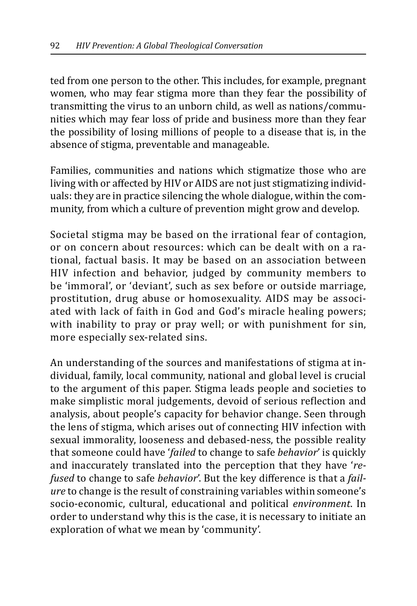ted from one person to the other. This includes, for example, pregnant women, who may fear stigma more than they fear the possibility of transmitting the virus to an unborn child, as well as nations/communities which may fear loss of pride and business more than they fear the possibility of losing millions of people to a disease that is, in the absence of stigma, preventable and manageable.

Families, communities and nations which stigmatize those who are living with or affected by HIV or AIDS are not just stigmatizing individuals: they are in practice silencing the whole dialogue, within the community, from which a culture of prevention might grow and develop.

Societal stigma may be based on the irrational fear of contagion, or on concern about resources: which can be dealt with on a rational, factual basis. It may be based on an association between HIV infection and behavior, judged by community members to be 'immoral', or 'deviant', such as sex before or outside marriage, prostitution, drug abuse or homosexuality. AIDS may be associated with lack of faith in God and God's miracle healing powers; with inability to pray or pray well; or with punishment for sin, more especially sex-related sins.

An understanding of the sources and manifestations of stigma at individual, family, local community, national and global level is crucial to the argument of this paper. Stigma leads people and societies to make simplistic moral judgements, devoid of serious reflection and analysis, about people's capacity for behavior change. Seen through the lens of stigma, which arises out of connecting HIV infection with sexual immorality, looseness and debased-ness, the possible reality that someone could have '*failed* to change to safe *behavior*' is quickly and inaccurately translated into the perception that they have '*refused* to change to safe *behavior*'. But the key difference is that a *failure* to change is the result of constraining variables within someone's socio-economic, cultural, educational and political *environment*. In order to understand why this is the case, it is necessary to initiate an exploration of what we mean by 'community'.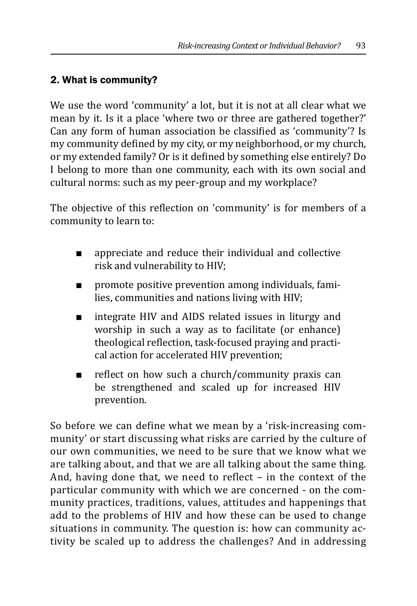### 2. What is community?

We use the word 'community' a lot, but it is not at all clear what we mean by it. Is it a place 'where two or three are gathered together?' Can any form of human association be classified as 'community'? Is my community defined by my city, or my neighborhood, or my church, or my extended family? Or is it defined by something else entirely? Do I belong to more than one community, each with its own social and cultural norms: such as my peer-group and my workplace?

The objective of this reflection on 'community' is for members of a community to learn to:

- appreciate and reduce their individual and collective risk and vulnerability to HIV;
- promote positive prevention among individuals, families, communities and nations living with HIV;
- integrate HIV and AIDS related issues in liturgy and worship in such a way as to facilitate (or enhance) theological reflection, task-focused praying and practical action for accelerated HIV prevention;
- reflect on how such a church/community praxis can be strengthened and scaled up for increased HIV prevention.

So before we can define what we mean by a 'risk-increasing community' or start discussing what risks are carried by the culture of our own communities, we need to be sure that we know what we are talking about, and that we are all talking about the same thing. And, having done that, we need to reflect – in the context of the particular community with which we are concerned - on the community practices, traditions, values, attitudes and happenings that add to the problems of HIV and how these can be used to change situations in community. The question is: how can community activity be scaled up to address the challenges? And in addressing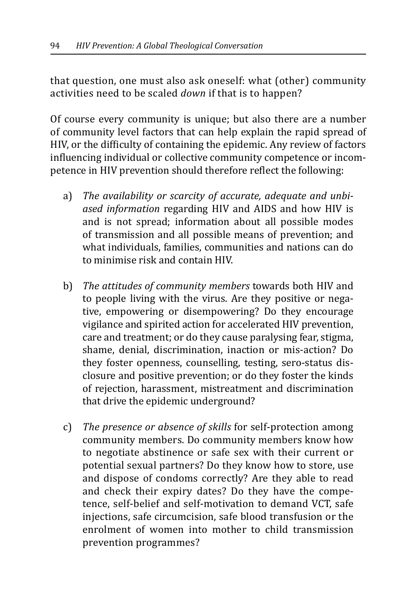that question, one must also ask oneself: what (other) community activities need to be scaled *down* if that is to happen?

Of course every community is unique; but also there are a number of community level factors that can help explain the rapid spread of HIV, or the difficulty of containing the epidemic. Any review of factors influencing individual or collective community competence or incompetence in HIV prevention should therefore reflect the following:

- a) *The availability or scarcity of accurate, adequate and unbiased information* regarding HIV and AIDS and how HIV is and is not spread; information about all possible modes of transmission and all possible means of prevention; and what individuals, families, communities and nations can do to minimise risk and contain HIV.
- b) *The attitudes of community members* towards both HIV and to people living with the virus. Are they positive or negative, empowering or disempowering? Do they encourage vigilance and spirited action for accelerated HIV prevention, care and treatment; or do they cause paralysing fear, stigma, shame, denial, discrimination, inaction or mis-action? Do they foster openness, counselling, testing, sero-status disclosure and positive prevention; or do they foster the kinds of rejection, harassment, mistreatment and discrimination that drive the epidemic underground?
- c) *The presence or absence of skills* for self-protection among community members. Do community members know how to negotiate abstinence or safe sex with their current or potential sexual partners? Do they know how to store, use and dispose of condoms correctly? Are they able to read and check their expiry dates? Do they have the competence, self-belief and self-motivation to demand VCT, safe injections, safe circumcision, safe blood transfusion or the enrolment of women into mother to child transmission prevention programmes?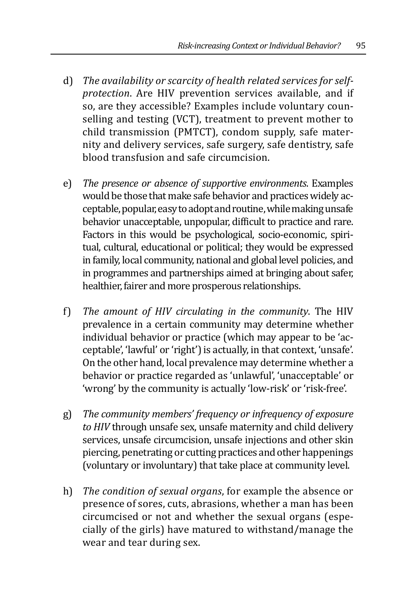- d) *The availability or scarcity of health related services for selfprotection*. Are HIV prevention services available, and if so, are they accessible? Examples include voluntary counselling and testing (VCT), treatment to prevent mother to child transmission (PMTCT), condom supply, safe maternity and delivery services, safe surgery, safe dentistry, safe blood transfusion and safe circumcision.
- e) *The presence or absence of supportive environments*. Examples would be those that make safe behavior and practices widely acceptable, popular, easy to adopt and routine, while making unsafe behavior unacceptable, unpopular, difficult to practice and rare. Factors in this would be psychological, socio-economic, spiritual, cultural, educational or political; they would be expressed in family, local community, national and global level policies, and in programmes and partnerships aimed at bringing about safer, healthier, fairer and more prosperous relationships.
- f) *The amount of HIV circulating in the community*. The HIV prevalence in a certain community may determine whether individual behavior or practice (which may appear to be 'acceptable', 'lawful' or 'right') is actually, in that context, 'unsafe'. On the other hand, local prevalence may determine whether a behavior or practice regarded as 'unlawful', 'unacceptable' or 'wrong' by the community is actually 'low-risk' or 'risk-free'.
- g) *The community members' frequency or infrequency of exposure to HIV* through unsafe sex, unsafe maternity and child delivery services, unsafe circumcision, unsafe injections and other skin piercing, penetrating or cutting practices and other happenings (voluntary or involuntary) that take place at community level.
- h) *The condition of sexual organs*, for example the absence or presence of sores, cuts, abrasions, whether a man has been circumcised or not and whether the sexual organs (especially of the girls) have matured to withstand/manage the wear and tear during sex.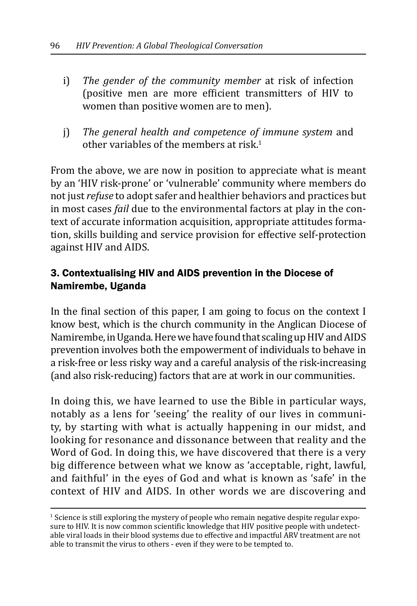- i) *The gender of the community member* at risk of infection (positive men are more efficient transmitters of HIV to women than positive women are to men).
- j) *The general health and competence of immune system* and other variables of the members at risk.<sup>1</sup>

From the above, we are now in position to appreciate what is meant by an 'HIV risk-prone' or 'vulnerable' community where members do not just *refuse* to adopt safer and healthier behaviors and practices but in most cases *fail* due to the environmental factors at play in the context of accurate information acquisition, appropriate attitudes formation, skills building and service provision for effective self-protection against HIV and AIDS.

#### 3. Contextualising HIV and AIDS prevention in the Diocese of Namirembe, Uganda

In the final section of this paper, I am going to focus on the context I know best, which is the church community in the Anglican Diocese of Namirembe, in Uganda. Here we have found that scaling up HIV and AIDS prevention involves both the empowerment of individuals to behave in a risk-free or less risky way and a careful analysis of the risk-increasing (and also risk-reducing) factors that are at work in our communities.

In doing this, we have learned to use the Bible in particular ways, notably as a lens for 'seeing' the reality of our lives in community, by starting with what is actually happening in our midst, and looking for resonance and dissonance between that reality and the Word of God. In doing this, we have discovered that there is a very big difference between what we know as 'acceptable, right, lawful, and faithful' in the eyes of God and what is known as 'safe' in the context of HIV and AIDS. In other words we are discovering and

<sup>&</sup>lt;sup>1</sup> Science is still exploring the mystery of people who remain negative despite regular exposure to HIV. It is now common scientific knowledge that HIV positive people with undetectable viral loads in their blood systems due to effective and impactful ARV treatment are not able to transmit the virus to others - even if they were to be tempted to.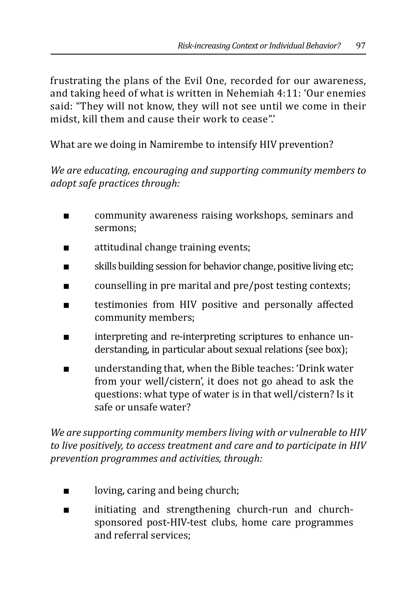frustrating the plans of the Evil One, recorded for our awareness, and taking heed of what is written in Nehemiah 4:11: 'Our enemies said: "They will not know, they will not see until we come in their midst, kill them and cause their work to cease".'

What are we doing in Namirembe to intensify HIV prevention?

*We are educating, encouraging and supporting community members to adopt safe practices through:*

- community awareness raising workshops, seminars and sermons;
- attitudinal change training events;
- skills building session for behavior change, positive living etc;
- counselling in pre marital and pre/post testing contexts;
- testimonies from HIV positive and personally affected community members;
- interpreting and re-interpreting scriptures to enhance understanding, in particular about sexual relations (see box);
- understanding that, when the Bible teaches: 'Drink water' from your well/cistern', it does not go ahead to ask the questions: what type of water is in that well/cistern? Is it safe or unsafe water?

*We are supporting community members living with or vulnerable to HIV to live positively, to access treatment and care and to participate in HIV prevention programmes and activities, through:*

- loving, caring and being church;
- initiating and strengthening church-run and churchsponsored post-HIV-test clubs, home care programmes and referral services;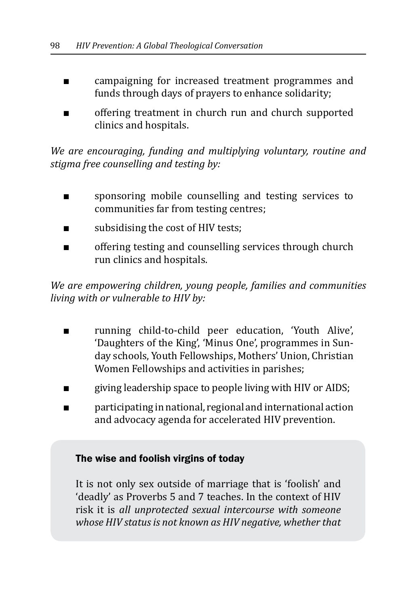- campaigning for increased treatment programmes and funds through days of prayers to enhance solidarity;
- offering treatment in church run and church supported clinics and hospitals.

*We are encouraging, funding and multiplying voluntary, routine and stigma free counselling and testing by:*

- sponsoring mobile counselling and testing services to communities far from testing centres;
- subsidising the cost of HIV tests;
- offering testing and counselling services through church run clinics and hospitals.

*We are empowering children, young people, families and communities living with or vulnerable to HIV by:*

- running child-to-child peer education, 'Youth Alive', 'Daughters of the King', 'Minus One', programmes in Sunday schools, Youth Fellowships, Mothers' Union, Christian Women Fellowships and activities in parishes;
- giving leadership space to people living with HIV or AIDS;
- participating in national, regional and international action and advocacy agenda for accelerated HIV prevention.

#### The wise and foolish virgins of today

It is not only sex outside of marriage that is 'foolish' and 'deadly' as Proverbs 5 and 7 teaches. In the context of HIV risk it is *all unprotected sexual intercourse with someone whose HIV status is not known as HIV negative, whether that*